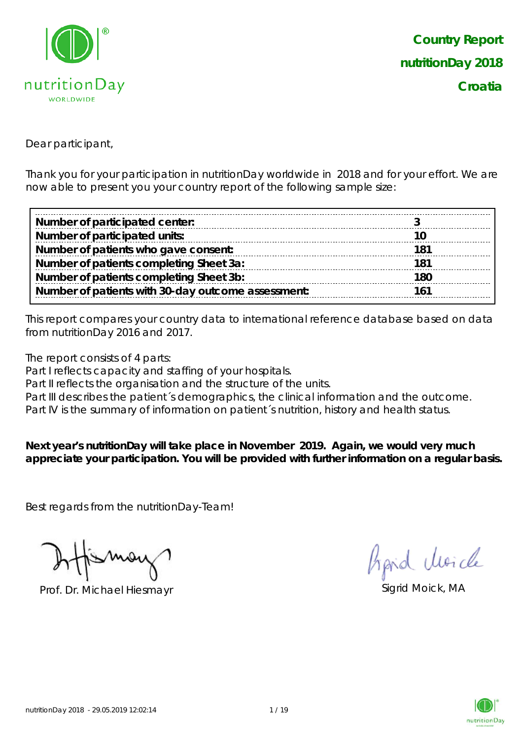

Dear participant,

Thank you for your participation in nutritionDay worldwide in 2018 and for your effort. We are now able to present you your country report of the following sample size:

| Number of participated center:                     |     |
|----------------------------------------------------|-----|
| Number of participated units:                      |     |
| Number of patients who gave consent:               | 181 |
| Number of patients completing Sheet 3a:            | 181 |
| Number of patients completing Sheet 3b:            | 180 |
| Number of patients with 30-day outcome assessment: | 161 |

This report compares your country data to international reference database based on data from nutritionDay 2016 and 2017.

The report consists of 4 parts:

Part I reflects capacity and staffing of your hospitals.

Part II reflects the organisation and the structure of the units.

Part III describes the patient's demographics, the clinical information and the outcome.

Part IV is the summary of information on patient's nutrition, history and health status.

**Next year's nutritionDay will take place in November 2019. Again, we would very much appreciate your participation. You will be provided with further information on a regular basis.**

Best regards from the nutritionDay-Team!

Prof. Dr. Michael Hiesmayr Sigrid Moick, MA

hard cluricle

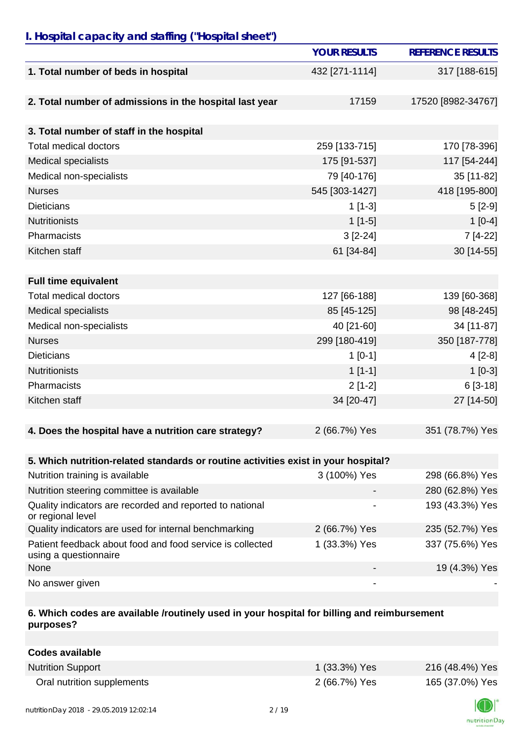## *I. Hospital capacity and staffing ("Hospital sheet")*

|                                                                                    | <b>YOUR RESULTS</b> | <b>REFERENCE RESULTS</b> |
|------------------------------------------------------------------------------------|---------------------|--------------------------|
| 1. Total number of beds in hospital                                                | 432 [271-1114]      | 317 [188-615]            |
|                                                                                    |                     |                          |
| 2. Total number of admissions in the hospital last year                            | 17159               | 17520 [8982-34767]       |
|                                                                                    |                     |                          |
| 3. Total number of staff in the hospital                                           |                     |                          |
| <b>Total medical doctors</b>                                                       | 259 [133-715]       | 170 [78-396]             |
| <b>Medical specialists</b>                                                         | 175 [91-537]        | 117 [54-244]             |
| Medical non-specialists                                                            | 79 [40-176]         | 35 [11-82]               |
| <b>Nurses</b>                                                                      | 545 [303-1427]      | 418 [195-800]            |
| <b>Dieticians</b>                                                                  | $1[1-3]$            | $5[2-9]$                 |
| <b>Nutritionists</b>                                                               | $1[1-5]$            | $1[0-4]$                 |
| Pharmacists                                                                        | $3[2-24]$           | 7 [4-22]                 |
| Kitchen staff                                                                      | 61 [34-84]          | 30 [14-55]               |
|                                                                                    |                     |                          |
| <b>Full time equivalent</b>                                                        |                     |                          |
| <b>Total medical doctors</b>                                                       | 127 [66-188]        | 139 [60-368]             |
| <b>Medical specialists</b>                                                         | 85 [45-125]         | 98 [48-245]              |
| Medical non-specialists                                                            | 40 [21-60]          | 34 [11-87]               |
| <b>Nurses</b>                                                                      | 299 [180-419]       | 350 [187-778]            |
| <b>Dieticians</b>                                                                  | $1[0-1]$            | $4[2-8]$                 |
| <b>Nutritionists</b>                                                               | $1[1-1]$            | $1[0-3]$                 |
| Pharmacists                                                                        | $2[1-2]$            | $6[3-18]$                |
| Kitchen staff                                                                      | 34 [20-47]          | 27 [14-50]               |
|                                                                                    |                     |                          |
| 4. Does the hospital have a nutrition care strategy?                               | 2 (66.7%) Yes       | 351 (78.7%) Yes          |
|                                                                                    |                     |                          |
| 5. Which nutrition-related standards or routine activities exist in your hospital? |                     |                          |
| Nutrition training is available                                                    | 3 (100%) Yes        | 298 (66.8%) Yes          |
| Nutrition steering committee is available                                          |                     | 280 (62.8%) Yes          |
| Quality indicators are recorded and reported to national<br>or regional level      |                     | 193 (43.3%) Yes          |
| Quality indicators are used for internal benchmarking                              | 2 (66.7%) Yes       | 235 (52.7%) Yes          |
| Patient feedback about food and food service is collected<br>using a questionnaire | 1 (33.3%) Yes       | 337 (75.6%) Yes          |
| None                                                                               |                     | 19 (4.3%) Yes            |
| No answer given                                                                    |                     |                          |

#### **6. Which codes are available /routinely used in your hospital for billing and reimbursement purposes?**

| Codes available            |               |                 |
|----------------------------|---------------|-----------------|
| <b>Nutrition Support</b>   | 1 (33.3%) Yes | 216 (48.4%) Yes |
| Oral nutrition supplements | 2 (66.7%) Yes | 165 (37.0%) Yes |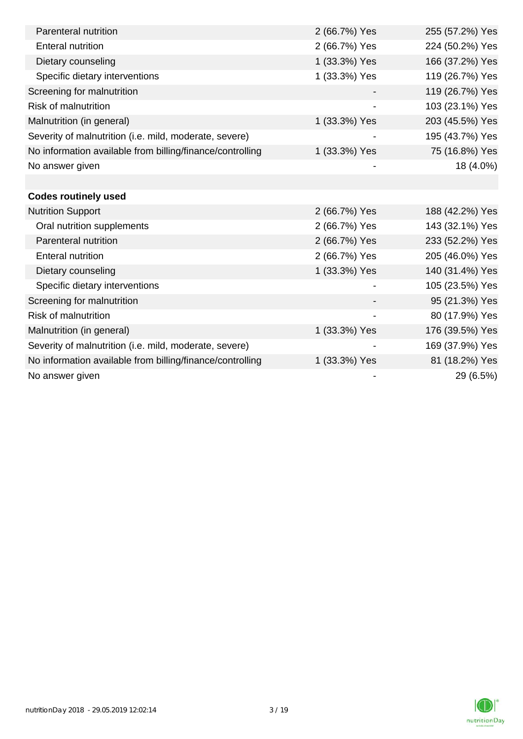| Parenteral nutrition                                      | 2 (66.7%) Yes | 255 (57.2%) Yes |
|-----------------------------------------------------------|---------------|-----------------|
| <b>Enteral nutrition</b>                                  | 2 (66.7%) Yes | 224 (50.2%) Yes |
| Dietary counseling                                        | 1 (33.3%) Yes | 166 (37.2%) Yes |
| Specific dietary interventions                            | 1 (33.3%) Yes | 119 (26.7%) Yes |
| Screening for malnutrition                                |               | 119 (26.7%) Yes |
| <b>Risk of malnutrition</b>                               |               | 103 (23.1%) Yes |
| Malnutrition (in general)                                 | 1 (33.3%) Yes | 203 (45.5%) Yes |
| Severity of malnutrition (i.e. mild, moderate, severe)    |               | 195 (43.7%) Yes |
| No information available from billing/finance/controlling | 1 (33.3%) Yes | 75 (16.8%) Yes  |
| No answer given                                           |               | 18 (4.0%)       |
|                                                           |               |                 |
| <b>Codes routinely used</b>                               |               |                 |
| <b>Nutrition Support</b>                                  | 2 (66.7%) Yes | 188 (42.2%) Yes |
| Oral nutrition supplements                                | 2 (66.7%) Yes | 143 (32.1%) Yes |
| Parenteral nutrition                                      | 2 (66.7%) Yes | 233 (52.2%) Yes |
| <b>Enteral nutrition</b>                                  | 2 (66.7%) Yes | 205 (46.0%) Yes |
| Dietary counseling                                        | 1 (33.3%) Yes | 140 (31.4%) Yes |
| Specific dietary interventions                            |               | 105 (23.5%) Yes |
| Screening for malnutrition                                |               | 95 (21.3%) Yes  |
| <b>Risk of malnutrition</b>                               |               | 80 (17.9%) Yes  |
| Malnutrition (in general)                                 | 1 (33.3%) Yes | 176 (39.5%) Yes |
| Severity of malnutrition (i.e. mild, moderate, severe)    |               | 169 (37.9%) Yes |
| No information available from billing/finance/controlling | 1 (33.3%) Yes | 81 (18.2%) Yes  |
| No answer given                                           |               | 29 (6.5%)       |

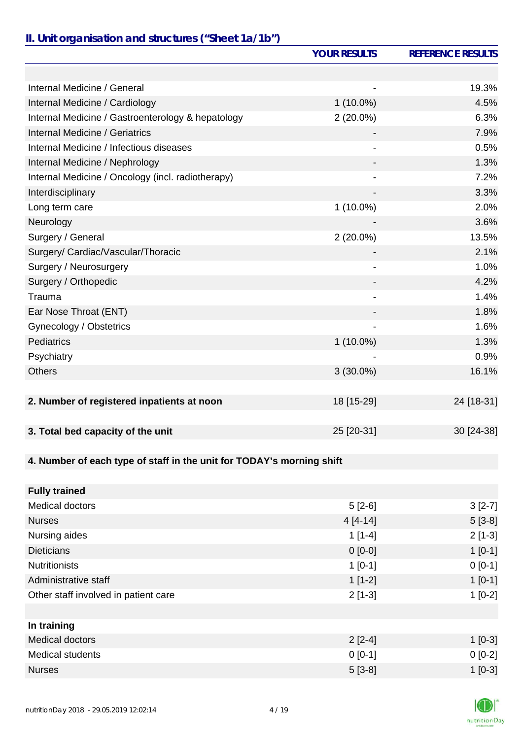# *II. Unit organisation and structures ("Sheet 1a/1b")*

|                                                                       | <b>YOUR RESULTS</b>      | <b>REFERENCE RESULTS</b> |
|-----------------------------------------------------------------------|--------------------------|--------------------------|
|                                                                       |                          |                          |
| Internal Medicine / General                                           |                          | 19.3%                    |
| Internal Medicine / Cardiology                                        | $1(10.0\%)$              | 4.5%                     |
| Internal Medicine / Gastroenterology & hepatology                     | $2(20.0\%)$              | 6.3%                     |
| Internal Medicine / Geriatrics                                        |                          | 7.9%                     |
| Internal Medicine / Infectious diseases                               |                          | 0.5%                     |
| Internal Medicine / Nephrology                                        |                          | 1.3%                     |
| Internal Medicine / Oncology (incl. radiotherapy)                     |                          | 7.2%                     |
| Interdisciplinary                                                     |                          | 3.3%                     |
| Long term care                                                        | $1(10.0\%)$              | 2.0%                     |
| Neurology                                                             |                          | 3.6%                     |
| Surgery / General                                                     | $2(20.0\%)$              | 13.5%                    |
| Surgery/ Cardiac/Vascular/Thoracic                                    |                          | 2.1%                     |
| Surgery / Neurosurgery                                                |                          | 1.0%                     |
| Surgery / Orthopedic                                                  |                          | 4.2%                     |
| Trauma                                                                | $\overline{\phantom{a}}$ | 1.4%                     |
| Ear Nose Throat (ENT)                                                 |                          | 1.8%                     |
| Gynecology / Obstetrics                                               |                          | 1.6%                     |
| Pediatrics                                                            | $1(10.0\%)$              | 1.3%                     |
| Psychiatry                                                            |                          | 0.9%                     |
| <b>Others</b>                                                         | $3(30.0\%)$              | 16.1%                    |
|                                                                       |                          |                          |
| 2. Number of registered inpatients at noon                            | 18 [15-29]               | 24 [18-31]               |
|                                                                       |                          |                          |
| 3. Total bed capacity of the unit                                     | 25 [20-31]               | 30 [24-38]               |
|                                                                       |                          |                          |
| 4. Number of each type of staff in the unit for TODAY's morning shift |                          |                          |
|                                                                       |                          |                          |
| <b>Fully trained</b>                                                  |                          |                          |
| <b>Medical doctors</b>                                                | $5[2-6]$                 | $3[2-7]$                 |
| <b>Nurses</b>                                                         | $4[4-14]$                | $5[3-8]$                 |
| Nursing aides                                                         | $1[1-4]$                 | $2[1-3]$                 |
| <b>Dieticians</b>                                                     | $0[0-0]$                 | $1[0-1]$                 |
| <b>Nutritionists</b>                                                  | $1[0-1]$                 | $0 [0-1]$                |
| Administrative staff                                                  | $1[1-2]$                 | $1[0-1]$                 |
| Other staff involved in patient care                                  | $2[1-3]$                 | $1[0-2]$                 |
|                                                                       |                          |                          |
| In training                                                           |                          |                          |
| <b>Medical doctors</b>                                                | $2[2-4]$                 | $1[0-3]$                 |
| <b>Medical students</b>                                               | $0 [0-1]$                | $0[0-2]$                 |
| <b>Nurses</b>                                                         | $5[3-8]$                 | $1[0-3]$                 |

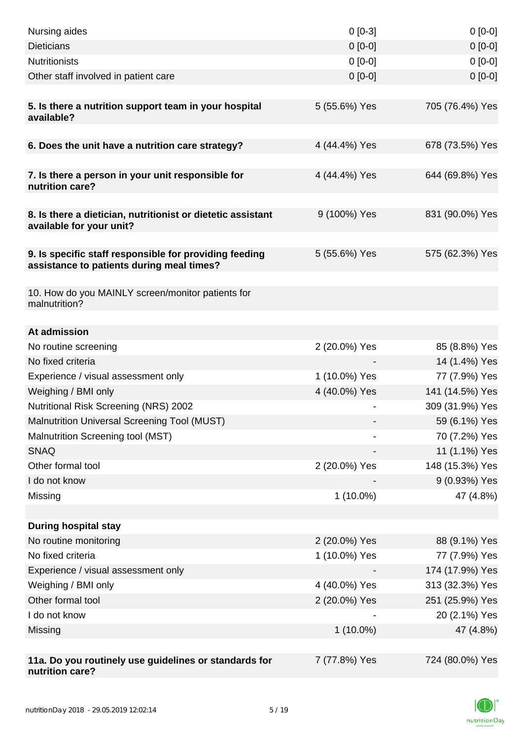| Nursing aides                                                                                       | $0[0-3]$      | $0[0-0]$        |
|-----------------------------------------------------------------------------------------------------|---------------|-----------------|
| <b>Dieticians</b>                                                                                   | $0 [0-0]$     | $0[0-0]$        |
| <b>Nutritionists</b>                                                                                | $0[0-0]$      | $0[0-0]$        |
| Other staff involved in patient care                                                                | $0 [0-0]$     | $0[0-0]$        |
|                                                                                                     |               |                 |
| 5. Is there a nutrition support team in your hospital<br>available?                                 | 5 (55.6%) Yes | 705 (76.4%) Yes |
| 6. Does the unit have a nutrition care strategy?                                                    | 4 (44.4%) Yes | 678 (73.5%) Yes |
|                                                                                                     |               |                 |
| 7. Is there a person in your unit responsible for<br>nutrition care?                                | 4 (44.4%) Yes | 644 (69.8%) Yes |
| 8. Is there a dietician, nutritionist or dietetic assistant<br>available for your unit?             | 9 (100%) Yes  | 831 (90.0%) Yes |
|                                                                                                     |               |                 |
| 9. Is specific staff responsible for providing feeding<br>assistance to patients during meal times? | 5 (55.6%) Yes | 575 (62.3%) Yes |
| 10. How do you MAINLY screen/monitor patients for<br>malnutrition?                                  |               |                 |
| At admission                                                                                        |               |                 |
|                                                                                                     | 2 (20.0%) Yes | 85 (8.8%) Yes   |
| No routine screening<br>No fixed criteria                                                           |               | 14 (1.4%) Yes   |
| Experience / visual assessment only                                                                 | 1 (10.0%) Yes | 77 (7.9%) Yes   |
| Weighing / BMI only                                                                                 | 4 (40.0%) Yes | 141 (14.5%) Yes |
| Nutritional Risk Screening (NRS) 2002                                                               |               | 309 (31.9%) Yes |
| Malnutrition Universal Screening Tool (MUST)                                                        |               | 59 (6.1%) Yes   |
| Malnutrition Screening tool (MST)                                                                   |               | 70 (7.2%) Yes   |
| <b>SNAQ</b>                                                                                         |               | 11 (1.1%) Yes   |
| Other formal tool                                                                                   | 2 (20.0%) Yes | 148 (15.3%) Yes |
| I do not know                                                                                       |               | 9 (0.93%) Yes   |
| Missing                                                                                             | $1(10.0\%)$   | 47 (4.8%)       |
|                                                                                                     |               |                 |
| <b>During hospital stay</b>                                                                         |               |                 |
| No routine monitoring                                                                               | 2 (20.0%) Yes | 88 (9.1%) Yes   |
| No fixed criteria                                                                                   | 1 (10.0%) Yes | 77 (7.9%) Yes   |
| Experience / visual assessment only                                                                 |               | 174 (17.9%) Yes |
| Weighing / BMI only                                                                                 | 4 (40.0%) Yes | 313 (32.3%) Yes |
| Other formal tool                                                                                   | 2 (20.0%) Yes | 251 (25.9%) Yes |
| I do not know                                                                                       |               | 20 (2.1%) Yes   |
| Missing                                                                                             | $1(10.0\%)$   | 47 (4.8%)       |
|                                                                                                     |               |                 |
| 11a. Do you routinely use guidelines or standards for<br>nutrition care?                            | 7 (77.8%) Yes | 724 (80.0%) Yes |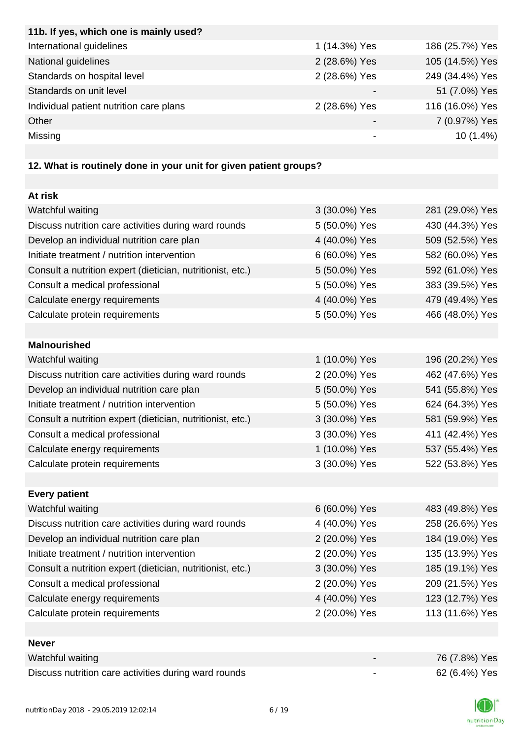| 11b. If yes, which one is mainly used?  |               |                 |
|-----------------------------------------|---------------|-----------------|
| International guidelines                | 1 (14.3%) Yes | 186 (25.7%) Yes |
| National guidelines                     | 2 (28.6%) Yes | 105 (14.5%) Yes |
| Standards on hospital level             | 2 (28.6%) Yes | 249 (34.4%) Yes |
| Standards on unit level                 |               | 51 (7.0%) Yes   |
| Individual patient nutrition care plans | 2 (28.6%) Yes | 116 (16.0%) Yes |
| Other                                   |               | 7 (0.97%) Yes   |
| Missing                                 | ۰             | $10(1.4\%)$     |

# **12. What is routinely done in your unit for given patient groups?**

| At risk                                                    |               |                 |
|------------------------------------------------------------|---------------|-----------------|
| Watchful waiting                                           | 3 (30.0%) Yes | 281 (29.0%) Yes |
| Discuss nutrition care activities during ward rounds       | 5 (50.0%) Yes | 430 (44.3%) Yes |
| Develop an individual nutrition care plan                  | 4 (40.0%) Yes | 509 (52.5%) Yes |
| Initiate treatment / nutrition intervention                | 6 (60.0%) Yes | 582 (60.0%) Yes |
| Consult a nutrition expert (dietician, nutritionist, etc.) | 5 (50.0%) Yes | 592 (61.0%) Yes |
| Consult a medical professional                             | 5 (50.0%) Yes | 383 (39.5%) Yes |
| Calculate energy requirements                              | 4 (40.0%) Yes | 479 (49.4%) Yes |
| Calculate protein requirements                             | 5 (50.0%) Yes | 466 (48.0%) Yes |
|                                                            |               |                 |
| <b>Malnourished</b>                                        |               |                 |
| Watchful waiting                                           | 1 (10.0%) Yes | 196 (20.2%) Yes |
| Discuss nutrition care activities during ward rounds       | 2 (20.0%) Yes | 462 (47.6%) Yes |
| Develop an individual nutrition care plan                  | 5 (50.0%) Yes | 541 (55.8%) Yes |
| Initiate treatment / nutrition intervention                | 5 (50.0%) Yes | 624 (64.3%) Yes |
| Consult a nutrition expert (dietician, nutritionist, etc.) | 3 (30.0%) Yes | 581 (59.9%) Yes |
| Consult a medical professional                             | 3 (30.0%) Yes | 411 (42.4%) Yes |
| Calculate energy requirements                              | 1 (10.0%) Yes | 537 (55.4%) Yes |
| Calculate protein requirements                             | 3 (30.0%) Yes | 522 (53.8%) Yes |
|                                                            |               |                 |
| <b>Every patient</b>                                       |               |                 |
| Watchful waiting                                           | 6 (60.0%) Yes | 483 (49.8%) Yes |
| Discuss nutrition care activities during ward rounds       | 4 (40.0%) Yes | 258 (26.6%) Yes |
| Develop an individual nutrition care plan                  | 2 (20.0%) Yes | 184 (19.0%) Yes |
| Initiate treatment / nutrition intervention                | 2 (20.0%) Yes | 135 (13.9%) Yes |
| Consult a nutrition expert (dietician, nutritionist, etc.) | 3 (30.0%) Yes | 185 (19.1%) Yes |
| Consult a medical professional                             | 2 (20.0%) Yes | 209 (21.5%) Yes |
| Calculate energy requirements                              | 4 (40.0%) Yes | 123 (12.7%) Yes |
| Calculate protein requirements                             | 2 (20.0%) Yes | 113 (11.6%) Yes |
|                                                            |               |                 |
| <b>Never</b>                                               |               |                 |
| Watchful waiting                                           |               | 76 (7.8%) Yes   |
| Discuss nutrition care activities during ward rounds       | -             | 62 (6.4%) Yes   |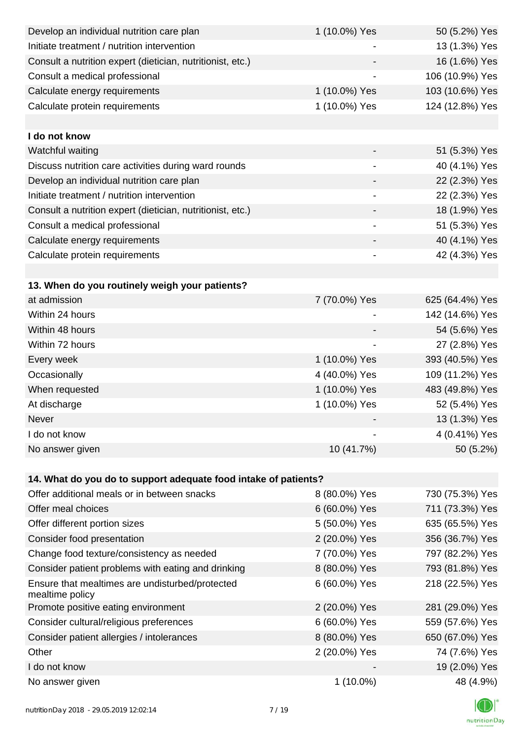| Develop an individual nutrition care plan                          | 1 (10.0%) Yes            | 50 (5.2%) Yes   |
|--------------------------------------------------------------------|--------------------------|-----------------|
| Initiate treatment / nutrition intervention                        |                          | 13 (1.3%) Yes   |
| Consult a nutrition expert (dietician, nutritionist, etc.)         |                          | 16 (1.6%) Yes   |
| Consult a medical professional                                     | $\overline{\phantom{a}}$ | 106 (10.9%) Yes |
| Calculate energy requirements                                      | 1 (10.0%) Yes            | 103 (10.6%) Yes |
| Calculate protein requirements                                     | 1 (10.0%) Yes            | 124 (12.8%) Yes |
|                                                                    |                          |                 |
| I do not know                                                      |                          |                 |
| Watchful waiting                                                   |                          | 51 (5.3%) Yes   |
| Discuss nutrition care activities during ward rounds               | $\overline{\phantom{a}}$ | 40 (4.1%) Yes   |
| Develop an individual nutrition care plan                          |                          | 22 (2.3%) Yes   |
| Initiate treatment / nutrition intervention                        | $\overline{\phantom{a}}$ | 22 (2.3%) Yes   |
| Consult a nutrition expert (dietician, nutritionist, etc.)         |                          | 18 (1.9%) Yes   |
| Consult a medical professional                                     |                          | 51 (5.3%) Yes   |
| Calculate energy requirements                                      |                          | 40 (4.1%) Yes   |
| Calculate protein requirements                                     | -                        | 42 (4.3%) Yes   |
|                                                                    |                          |                 |
| 13. When do you routinely weigh your patients?                     |                          |                 |
| at admission                                                       | 7 (70.0%) Yes            | 625 (64.4%) Yes |
| Within 24 hours                                                    |                          | 142 (14.6%) Yes |
| Within 48 hours                                                    |                          | 54 (5.6%) Yes   |
| Within 72 hours                                                    | $\overline{\phantom{a}}$ | 27 (2.8%) Yes   |
| Every week                                                         | 1 (10.0%) Yes            | 393 (40.5%) Yes |
| Occasionally                                                       | 4 (40.0%) Yes            | 109 (11.2%) Yes |
| When requested                                                     | 1 (10.0%) Yes            | 483 (49.8%) Yes |
| At discharge                                                       | 1 (10.0%) Yes            | 52 (5.4%) Yes   |
| Never                                                              |                          | 13 (1.3%) Yes   |
| I do not know                                                      |                          | 4 (0.41%) Yes   |
| No answer given                                                    | 10 (41.7%)               | 50 (5.2%)       |
|                                                                    |                          |                 |
| 14. What do you do to support adequate food intake of patients?    |                          |                 |
| Offer additional meals or in between snacks                        | 8 (80.0%) Yes            | 730 (75.3%) Yes |
| Offer meal choices                                                 | 6 (60.0%) Yes            | 711 (73.3%) Yes |
| Offer different portion sizes                                      | 5 (50.0%) Yes            | 635 (65.5%) Yes |
| Consider food presentation                                         | 2 (20.0%) Yes            | 356 (36.7%) Yes |
| Change food texture/consistency as needed                          | 7 (70.0%) Yes            | 797 (82.2%) Yes |
| Consider patient problems with eating and drinking                 | 8 (80.0%) Yes            | 793 (81.8%) Yes |
| Ensure that mealtimes are undisturbed/protected<br>mealtime policy | 6 (60.0%) Yes            | 218 (22.5%) Yes |
| Promote positive eating environment                                | 2 (20.0%) Yes            | 281 (29.0%) Yes |
| Consider cultural/religious preferences                            | 6 (60.0%) Yes            | 559 (57.6%) Yes |
| Consider patient allergies / intolerances                          | 8 (80.0%) Yes            | 650 (67.0%) Yes |
| Other                                                              | 2 (20.0%) Yes            | 74 (7.6%) Yes   |
| I do not know                                                      |                          | 19 (2.0%) Yes   |
| No answer given                                                    | $1(10.0\%)$              | 48 (4.9%)       |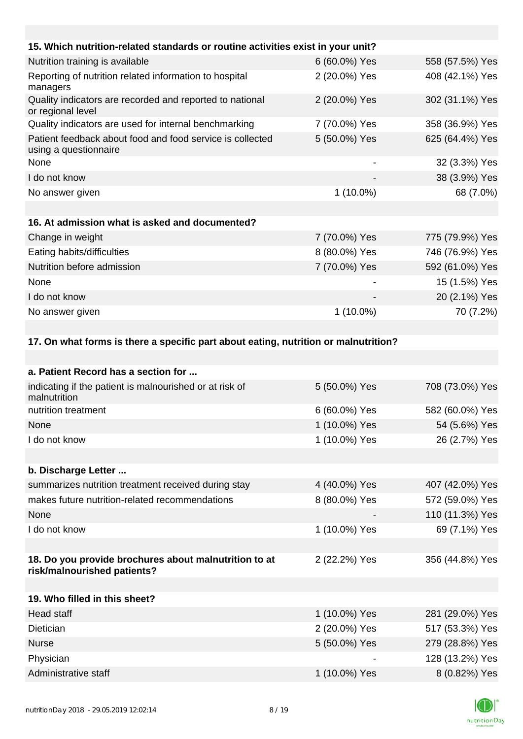| 15. Which nutrition-related standards or routine activities exist in your unit?     |               |                 |
|-------------------------------------------------------------------------------------|---------------|-----------------|
| Nutrition training is available                                                     | 6 (60.0%) Yes | 558 (57.5%) Yes |
| Reporting of nutrition related information to hospital<br>managers                  | 2 (20.0%) Yes | 408 (42.1%) Yes |
| Quality indicators are recorded and reported to national<br>or regional level       | 2 (20.0%) Yes | 302 (31.1%) Yes |
| Quality indicators are used for internal benchmarking                               | 7 (70.0%) Yes | 358 (36.9%) Yes |
| Patient feedback about food and food service is collected<br>using a questionnaire  | 5 (50.0%) Yes | 625 (64.4%) Yes |
| None                                                                                |               | 32 (3.3%) Yes   |
| I do not know                                                                       |               | 38 (3.9%) Yes   |
| No answer given                                                                     | $1(10.0\%)$   | 68 (7.0%)       |
|                                                                                     |               |                 |
| 16. At admission what is asked and documented?                                      |               |                 |
| Change in weight                                                                    | 7 (70.0%) Yes | 775 (79.9%) Yes |
| Eating habits/difficulties                                                          | 8 (80.0%) Yes | 746 (76.9%) Yes |
| Nutrition before admission                                                          | 7 (70.0%) Yes | 592 (61.0%) Yes |
| None                                                                                |               | 15 (1.5%) Yes   |
| I do not know                                                                       |               | 20 (2.1%) Yes   |
| No answer given                                                                     | $1(10.0\%)$   | 70 (7.2%)       |
|                                                                                     |               |                 |
| 17. On what forms is there a specific part about eating, nutrition or malnutrition? |               |                 |
|                                                                                     |               |                 |
| a. Patient Record has a section for                                                 |               |                 |
| indicating if the patient is malnourished or at risk of<br>malnutrition             | 5 (50.0%) Yes | 708 (73.0%) Yes |
| nutrition treatment                                                                 | 6 (60.0%) Yes | 582 (60.0%) Yes |

| 1 (10.0%) Yes | 54 (5.6%) Yes |
|---------------|---------------|
| 1 (10.0%) Yes | 26 (2.7%) Yes |
|               |               |
|               |               |
|               |               |

| summarizes nutrition treatment received during stay | 4 (40.0%) Yes            | 407 (42.0%) Yes           |
|-----------------------------------------------------|--------------------------|---------------------------|
| makes future nutrition-related recommendations      | 8 (80.0%) Yes            | 572 (59.0%) Yes           |
| None                                                | $\overline{\phantom{0}}$ | 110 (11.3%) Yes           |
| I do not know                                       | 1 (10.0%) Yes            | 69 (7.1%) Yes             |
|                                                     |                          |                           |
| 40. De usu wasuka kwaskuwan skaut malmutukian ta at | 2(22.20)                 | $QEC(AA, Q0) \vee Q_{22}$ |

#### **18. Do you provide brochures about malnutrition to at risk/malnourished patients?** 2 (22.2%) Yes 356 (44.8%) Yes

| 19. Who filled in this sheet? |               |                 |
|-------------------------------|---------------|-----------------|
| Head staff                    | 1 (10.0%) Yes | 281 (29.0%) Yes |
| <b>Dietician</b>              | 2 (20.0%) Yes | 517 (53.3%) Yes |
| <b>Nurse</b>                  | 5 (50.0%) Yes | 279 (28.8%) Yes |
| Physician                     |               | 128 (13.2%) Yes |
| Administrative staff          | 1 (10.0%) Yes | 8 (0.82%) Yes   |

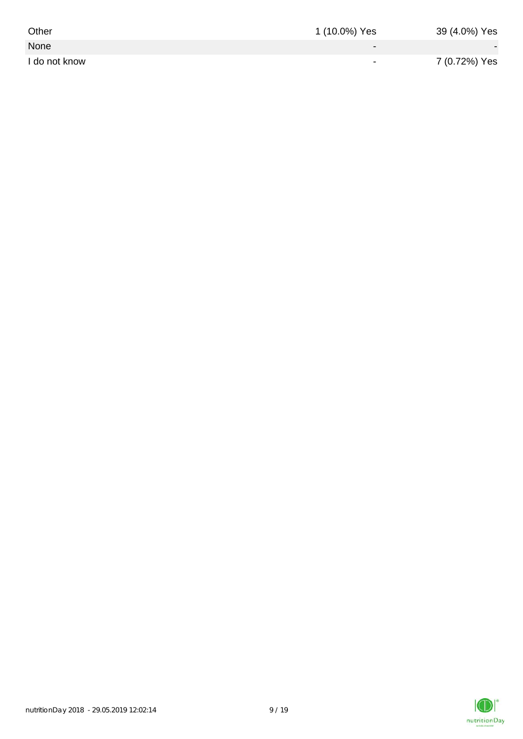| Other         | 1 (10.0%) Yes            | 39 (4.0%) Yes |
|---------------|--------------------------|---------------|
| None          | $\overline{\phantom{0}}$ |               |
| I do not know | $\overline{\phantom{0}}$ | 7 (0.72%) Yes |

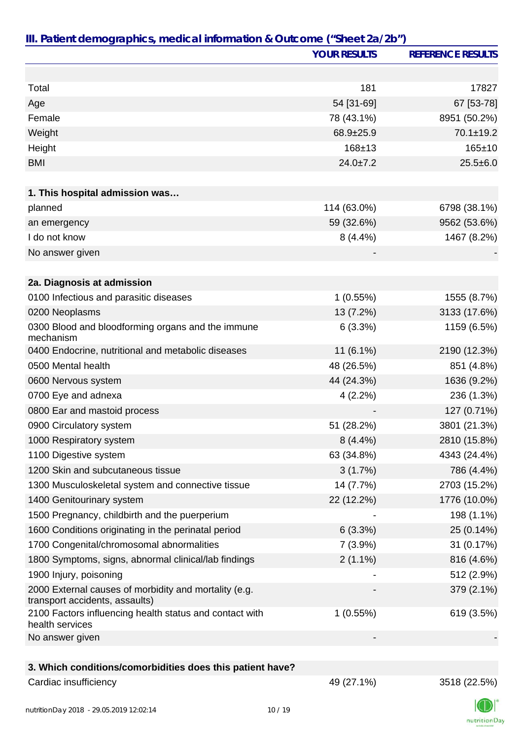|                                                                                         | <b>YOUR RESULTS</b> | <b>REFERENCE RESULTS</b> |
|-----------------------------------------------------------------------------------------|---------------------|--------------------------|
|                                                                                         |                     |                          |
| Total                                                                                   | 181                 | 17827                    |
| Age                                                                                     | 54 [31-69]          | 67 [53-78]               |
| Female                                                                                  | 78 (43.1%)          | 8951 (50.2%)             |
| Weight                                                                                  | 68.9±25.9           | 70.1±19.2                |
| Height                                                                                  | 168±13              | 165±10                   |
| <b>BMI</b>                                                                              | $24.0 \pm 7.2$      | $25.5 \pm 6.0$           |
|                                                                                         |                     |                          |
| 1. This hospital admission was                                                          |                     |                          |
| planned                                                                                 | 114 (63.0%)         | 6798 (38.1%)             |
| an emergency                                                                            | 59 (32.6%)          | 9562 (53.6%)             |
| I do not know                                                                           | $8(4.4\%)$          | 1467 (8.2%)              |
| No answer given                                                                         |                     |                          |
|                                                                                         |                     |                          |
| 2a. Diagnosis at admission                                                              |                     |                          |
| 0100 Infectious and parasitic diseases                                                  | 1(0.55%)            | 1555 (8.7%)              |
| 0200 Neoplasms                                                                          | 13 (7.2%)           | 3133 (17.6%)             |
| 0300 Blood and bloodforming organs and the immune<br>mechanism                          | 6(3.3%)             | 1159 (6.5%)              |
| 0400 Endocrine, nutritional and metabolic diseases                                      | 11 (6.1%)           | 2190 (12.3%)             |
| 0500 Mental health                                                                      | 48 (26.5%)          | 851 (4.8%)               |
| 0600 Nervous system                                                                     | 44 (24.3%)          | 1636 (9.2%)              |
| 0700 Eye and adnexa                                                                     | 4(2.2%)             | 236 (1.3%)               |
| 0800 Ear and mastoid process                                                            |                     | 127 (0.71%)              |
| 0900 Circulatory system                                                                 | 51 (28.2%)          | 3801 (21.3%)             |
| 1000 Respiratory system                                                                 | $8(4.4\%)$          | 2810 (15.8%)             |
| 1100 Digestive system                                                                   | 63 (34.8%)          | 4343 (24.4%)             |
| 1200 Skin and subcutaneous tissue                                                       | 3(1.7%)             | 786 (4.4%)               |
| 1300 Musculoskeletal system and connective tissue                                       | 14 (7.7%)           | 2703 (15.2%)             |
| 1400 Genitourinary system                                                               | 22 (12.2%)          | 1776 (10.0%)             |
| 1500 Pregnancy, childbirth and the puerperium                                           |                     | 198 (1.1%)               |
| 1600 Conditions originating in the perinatal period                                     | 6(3.3%)             | 25 (0.14%)               |
| 1700 Congenital/chromosomal abnormalities                                               | 7(3.9%)             | 31 (0.17%)               |
| 1800 Symptoms, signs, abnormal clinical/lab findings                                    | $2(1.1\%)$          | 816 (4.6%)               |
| 1900 Injury, poisoning                                                                  |                     | 512 (2.9%)               |
| 2000 External causes of morbidity and mortality (e.g.<br>transport accidents, assaults) |                     | 379 (2.1%)               |
| 2100 Factors influencing health status and contact with<br>health services              | 1(0.55%)            | 619 (3.5%)               |
| No answer given                                                                         |                     |                          |
| 3. Which conditions/comorbidities does this patient have?                               |                     |                          |
| Cardiac insufficiency                                                                   | 49 (27.1%)          | 3518 (22.5%)             |

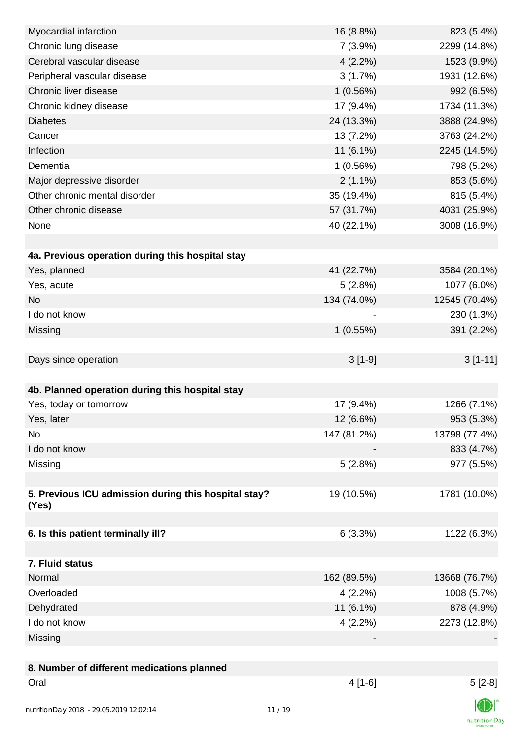| Myocardial infarction                                | 16 (8.8%)   | 823 (5.4%)    |
|------------------------------------------------------|-------------|---------------|
| Chronic lung disease                                 | $7(3.9\%)$  | 2299 (14.8%)  |
| Cerebral vascular disease                            | $4(2.2\%)$  | 1523 (9.9%)   |
| Peripheral vascular disease                          | 3(1.7%)     | 1931 (12.6%)  |
| Chronic liver disease                                | 1(0.56%)    | 992 (6.5%)    |
| Chronic kidney disease                               | 17 (9.4%)   | 1734 (11.3%)  |
| <b>Diabetes</b>                                      | 24 (13.3%)  | 3888 (24.9%)  |
| Cancer                                               | 13 (7.2%)   | 3763 (24.2%)  |
| Infection                                            | $11(6.1\%)$ | 2245 (14.5%)  |
| Dementia                                             | 1(0.56%)    | 798 (5.2%)    |
| Major depressive disorder                            | $2(1.1\%)$  | 853 (5.6%)    |
| Other chronic mental disorder                        | 35 (19.4%)  | 815 (5.4%)    |
| Other chronic disease                                | 57 (31.7%)  | 4031 (25.9%)  |
| None                                                 | 40 (22.1%)  | 3008 (16.9%)  |
|                                                      |             |               |
| 4a. Previous operation during this hospital stay     |             |               |
| Yes, planned                                         | 41 (22.7%)  | 3584 (20.1%)  |
| Yes, acute                                           | 5(2.8%)     | 1077 (6.0%)   |
| <b>No</b>                                            | 134 (74.0%) | 12545 (70.4%) |
| I do not know                                        |             | 230 (1.3%)    |
| Missing                                              | 1(0.55%)    | 391 (2.2%)    |
|                                                      |             |               |
| Days since operation                                 | $3[1-9]$    | $3[1-11]$     |
|                                                      |             |               |
| 4b. Planned operation during this hospital stay      |             |               |
| Yes, today or tomorrow                               | 17 (9.4%)   | 1266 (7.1%)   |
| Yes, later                                           | 12 (6.6%)   | 953 (5.3%)    |
| No                                                   | 147 (81.2%) | 13798 (77.4%) |
| I do not know                                        |             | 833 (4.7%)    |
| Missing                                              | 5(2.8%)     | 977 (5.5%)    |
|                                                      |             |               |
| 5. Previous ICU admission during this hospital stay? | 19 (10.5%)  | 1781 (10.0%)  |
| (Yes)                                                |             |               |
|                                                      |             |               |
| 6. Is this patient terminally ill?                   | 6(3.3%)     | 1122 (6.3%)   |
|                                                      |             |               |
| 7. Fluid status                                      |             |               |
| Normal                                               | 162 (89.5%) | 13668 (76.7%) |
| Overloaded                                           | 4(2.2%)     | 1008 (5.7%)   |
| Dehydrated                                           | 11 (6.1%)   | 878 (4.9%)    |
| I do not know                                        | $4(2.2\%)$  | 2273 (12.8%)  |
| Missing                                              |             |               |
|                                                      |             |               |
| 8. Number of different medications planned           |             |               |
| Oral                                                 | $4[1-6]$    | $5[2-8]$      |
|                                                      |             |               |
| nutritionDay 2018 - 29 05 2019 12:02:14              | 11/19       |               |

nutritionDay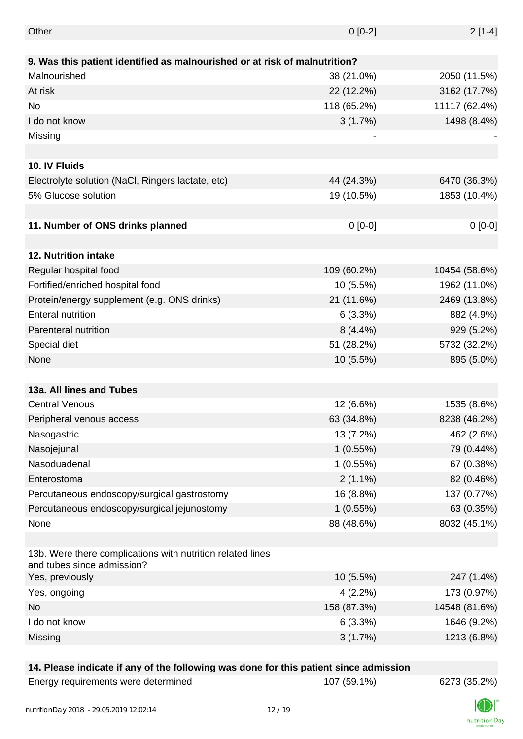| Other                                                                                    | $0[0-2]$    | $2[1-4]$      |
|------------------------------------------------------------------------------------------|-------------|---------------|
|                                                                                          |             |               |
| 9. Was this patient identified as malnourished or at risk of malnutrition?               |             |               |
| Malnourished                                                                             | 38 (21.0%)  | 2050 (11.5%)  |
| At risk                                                                                  | 22 (12.2%)  | 3162 (17.7%)  |
| <b>No</b>                                                                                | 118 (65.2%) | 11117 (62.4%) |
| I do not know                                                                            | 3(1.7%)     | 1498 (8.4%)   |
| Missing                                                                                  |             |               |
|                                                                                          |             |               |
| 10. IV Fluids                                                                            |             |               |
| Electrolyte solution (NaCl, Ringers lactate, etc)                                        | 44 (24.3%)  | 6470 (36.3%)  |
| 5% Glucose solution                                                                      | 19 (10.5%)  | 1853 (10.4%)  |
|                                                                                          |             |               |
| 11. Number of ONS drinks planned                                                         | $0 [0-0]$   | $0[0-0]$      |
|                                                                                          |             |               |
| 12. Nutrition intake                                                                     |             |               |
| Regular hospital food                                                                    | 109 (60.2%) | 10454 (58.6%) |
| Fortified/enriched hospital food                                                         | 10 (5.5%)   | 1962 (11.0%)  |
| Protein/energy supplement (e.g. ONS drinks)                                              | 21 (11.6%)  | 2469 (13.8%)  |
| <b>Enteral nutrition</b>                                                                 | 6(3.3%)     | 882 (4.9%)    |
| Parenteral nutrition                                                                     | $8(4.4\%)$  | 929 (5.2%)    |
| Special diet                                                                             | 51 (28.2%)  | 5732 (32.2%)  |
| None                                                                                     | 10 (5.5%)   | 895 (5.0%)    |
|                                                                                          |             |               |
| 13a. All lines and Tubes                                                                 |             |               |
| <b>Central Venous</b>                                                                    | 12 (6.6%)   | 1535 (8.6%)   |
| Peripheral venous access                                                                 | 63 (34.8%)  | 8238 (46.2%)  |
| Nasogastric                                                                              | 13 (7.2%)   | 462 (2.6%)    |
| Nasojejunal                                                                              | 1(0.55%)    | 79 (0.44%)    |
| Nasoduadenal                                                                             | 1(0.55%)    | 67 (0.38%)    |
| Enterostoma                                                                              |             |               |
|                                                                                          | $2(1.1\%)$  | 82 (0.46%)    |
| Percutaneous endoscopy/surgical gastrostomy                                              | 16 (8.8%)   | 137 (0.77%)   |
| Percutaneous endoscopy/surgical jejunostomy                                              | 1(0.55%)    | 63 (0.35%)    |
| None                                                                                     | 88 (48.6%)  | 8032 (45.1%)  |
| 13b. Were there complications with nutrition related lines<br>and tubes since admission? |             |               |
| Yes, previously                                                                          | 10 (5.5%)   | 247 (1.4%)    |
| Yes, ongoing                                                                             | $4(2.2\%)$  | 173 (0.97%)   |
| <b>No</b>                                                                                | 158 (87.3%) | 14548 (81.6%) |
| I do not know                                                                            | 6(3.3%)     | 1646 (9.2%)   |
| Missing                                                                                  | 3(1.7%)     | 1213 (6.8%)   |
|                                                                                          |             |               |

### **14. Please indicate if any of the following was done for this patient since admission**

| Energy requirements were determined |
|-------------------------------------|
|-------------------------------------|

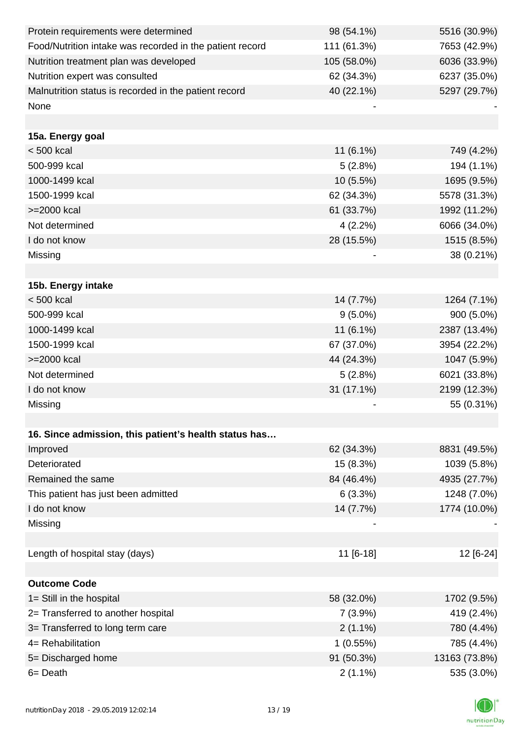| Protein requirements were determined                     | 98 (54.1%)  | 5516 (30.9%)  |
|----------------------------------------------------------|-------------|---------------|
| Food/Nutrition intake was recorded in the patient record | 111 (61.3%) | 7653 (42.9%)  |
| Nutrition treatment plan was developed                   | 105 (58.0%) | 6036 (33.9%)  |
| Nutrition expert was consulted                           | 62 (34.3%)  | 6237 (35.0%)  |
| Malnutrition status is recorded in the patient record    | 40 (22.1%)  | 5297 (29.7%)  |
| None                                                     |             |               |
|                                                          |             |               |
| 15a. Energy goal                                         |             |               |
| $< 500$ kcal                                             | $11(6.1\%)$ | 749 (4.2%)    |
| 500-999 kcal                                             | 5(2.8%)     | 194 (1.1%)    |
| 1000-1499 kcal                                           | 10 (5.5%)   | 1695 (9.5%)   |
| 1500-1999 kcal                                           | 62 (34.3%)  | 5578 (31.3%)  |
| >=2000 kcal                                              | 61 (33.7%)  | 1992 (11.2%)  |
| Not determined                                           | $4(2.2\%)$  | 6066 (34.0%)  |
| I do not know                                            | 28 (15.5%)  | 1515 (8.5%)   |
| Missing                                                  |             | 38 (0.21%)    |
|                                                          |             |               |
| 15b. Energy intake                                       |             |               |
| $< 500$ kcal                                             | 14 (7.7%)   | 1264 (7.1%)   |
| 500-999 kcal                                             | $9(5.0\%)$  | 900 (5.0%)    |
| 1000-1499 kcal                                           | $11(6.1\%)$ | 2387 (13.4%)  |
| 1500-1999 kcal                                           | 67 (37.0%)  | 3954 (22.2%)  |
| >=2000 kcal                                              | 44 (24.3%)  | 1047 (5.9%)   |
| Not determined                                           | 5(2.8%)     | 6021 (33.8%)  |
| I do not know                                            | 31 (17.1%)  | 2199 (12.3%)  |
| Missing                                                  |             | 55 (0.31%)    |
|                                                          |             |               |
| 16. Since admission, this patient's health status has    |             |               |
| Improved                                                 | 62 (34.3%)  | 8831 (49.5%)  |
| Deteriorated                                             | 15 (8.3%)   | 1039 (5.8%)   |
| Remained the same                                        | 84 (46.4%)  | 4935 (27.7%)  |
| This patient has just been admitted                      | 6(3.3%)     | 1248 (7.0%)   |
| I do not know                                            | 14 (7.7%)   | 1774 (10.0%)  |
| Missing                                                  |             |               |
|                                                          |             |               |
| Length of hospital stay (days)                           | 11 [6-18]   | 12 [6-24]     |
|                                                          |             |               |
| <b>Outcome Code</b>                                      |             |               |
| 1= Still in the hospital                                 | 58 (32.0%)  | 1702 (9.5%)   |
| 2= Transferred to another hospital                       | 7(3.9%)     | 419 (2.4%)    |
| 3= Transferred to long term care                         | $2(1.1\%)$  | 780 (4.4%)    |
| 4= Rehabilitation                                        | 1(0.55%)    | 785 (4.4%)    |
| 5= Discharged home                                       | 91 (50.3%)  | 13163 (73.8%) |
| 6= Death                                                 | $2(1.1\%)$  | 535 (3.0%)    |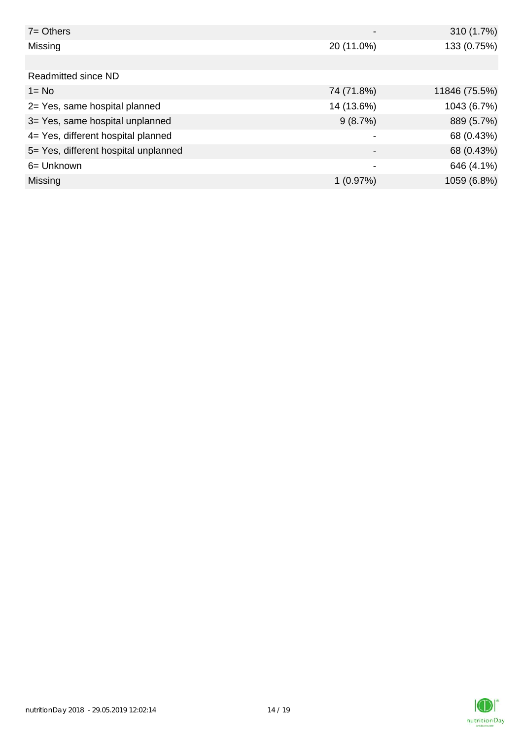| $7 =$ Others                         |                          | 310 (1.7%)    |
|--------------------------------------|--------------------------|---------------|
| Missing                              | 20 (11.0%)               | 133 (0.75%)   |
|                                      |                          |               |
| <b>Readmitted since ND</b>           |                          |               |
| $1 = No$                             | 74 (71.8%)               | 11846 (75.5%) |
| 2= Yes, same hospital planned        | 14 (13.6%)               | 1043 (6.7%)   |
| 3= Yes, same hospital unplanned      | 9(8.7%)                  | 889 (5.7%)    |
| 4= Yes, different hospital planned   |                          | 68 (0.43%)    |
| 5= Yes, different hospital unplanned |                          | 68 (0.43%)    |
| 6= Unknown                           | $\overline{\phantom{0}}$ | 646 (4.1%)    |
| Missing                              | 1(0.97%)                 | 1059 (6.8%)   |

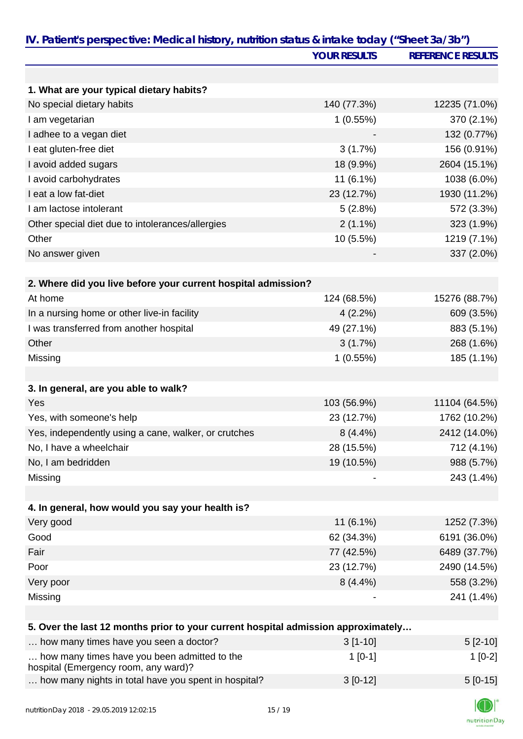|                                                                                      | <b>YOUR RESULTS</b> | <b>REFERENCE RESULTS</b> |
|--------------------------------------------------------------------------------------|---------------------|--------------------------|
|                                                                                      |                     |                          |
| 1. What are your typical dietary habits?                                             |                     |                          |
| No special dietary habits                                                            | 140 (77.3%)         | 12235 (71.0%)            |
| I am vegetarian                                                                      | 1(0.55%)            | 370 (2.1%)               |
| I adhee to a vegan diet                                                              |                     | 132 (0.77%)              |
| I eat gluten-free diet                                                               | 3(1.7%)             | 156 (0.91%)              |
| I avoid added sugars                                                                 | 18 (9.9%)           | 2604 (15.1%)             |
| I avoid carbohydrates                                                                | 11 (6.1%)           | 1038 (6.0%)              |
| I eat a low fat-diet                                                                 | 23 (12.7%)          | 1930 (11.2%)             |
| I am lactose intolerant                                                              | 5(2.8%)             | 572 (3.3%)               |
| Other special diet due to intolerances/allergies                                     | $2(1.1\%)$          | 323 (1.9%)               |
| Other                                                                                | 10 (5.5%)           | 1219 (7.1%)              |
| No answer given                                                                      |                     | 337 (2.0%)               |
| 2. Where did you live before your current hospital admission?                        |                     |                          |
| At home                                                                              | 124 (68.5%)         | 15276 (88.7%)            |
| In a nursing home or other live-in facility                                          | 4(2.2%)             | 609 (3.5%)               |
| I was transferred from another hospital                                              | 49 (27.1%)          | 883 (5.1%)               |
| Other                                                                                | 3(1.7%)             | 268 (1.6%)               |
| Missing                                                                              | 1(0.55%)            | 185 (1.1%)               |
| 3. In general, are you able to walk?                                                 |                     |                          |
| Yes                                                                                  | 103 (56.9%)         | 11104 (64.5%)            |
| Yes, with someone's help                                                             | 23 (12.7%)          | 1762 (10.2%)             |
| Yes, independently using a cane, walker, or crutches                                 | $8(4.4\%)$          | 2412 (14.0%)             |
| No, I have a wheelchair                                                              | 28 (15.5%)          | 712 (4.1%)               |
| No, I am bedridden                                                                   | 19 (10.5%)          | 988 (5.7%)               |
| Missing                                                                              |                     | 243 (1.4%)               |
|                                                                                      |                     |                          |
| 4. In general, how would you say your health is?                                     |                     |                          |
| Very good                                                                            | 11 (6.1%)           | 1252 (7.3%)              |
| Good                                                                                 | 62 (34.3%)          | 6191 (36.0%)             |
| Fair                                                                                 | 77 (42.5%)          | 6489 (37.7%)             |
| Poor                                                                                 | 23 (12.7%)          | 2490 (14.5%)             |
| Very poor                                                                            | $8(4.4\%)$          | 558 (3.2%)               |
| Missing                                                                              |                     | 241 (1.4%)               |
| 5. Over the last 12 months prior to your current hospital admission approximately    |                     |                          |
| how many times have you seen a doctor?                                               | $3[1-10]$           | $5[2-10]$                |
| how many times have you been admitted to the<br>hospital (Emergency room, any ward)? | $1[0-1]$            | $1[0-2]$                 |

| how many nights in total have you spent in hospital?<br>$3 [0-12]$ |  |           |
|--------------------------------------------------------------------|--|-----------|
|                                                                    |  | $5[0-15]$ |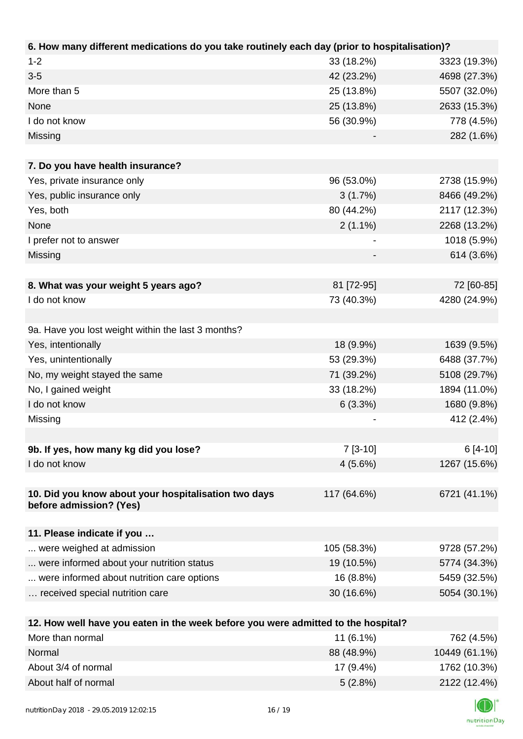| 6. How many different medications do you take routinely each day (prior to hospitalisation)? |               |
|----------------------------------------------------------------------------------------------|---------------|
| $1 - 2$<br>33 (18.2%)                                                                        | 3323 (19.3%)  |
| $3 - 5$<br>42 (23.2%)                                                                        | 4698 (27.3%)  |
| More than 5<br>25 (13.8%)                                                                    | 5507 (32.0%)  |
| None<br>25 (13.8%)                                                                           | 2633 (15.3%)  |
| I do not know<br>56 (30.9%)                                                                  | 778 (4.5%)    |
| Missing                                                                                      | 282 (1.6%)    |
|                                                                                              |               |
| 7. Do you have health insurance?                                                             |               |
| 96 (53.0%)<br>Yes, private insurance only                                                    | 2738 (15.9%)  |
| Yes, public insurance only<br>3(1.7%)                                                        | 8466 (49.2%)  |
| Yes, both<br>80 (44.2%)                                                                      | 2117 (12.3%)  |
| None<br>$2(1.1\%)$                                                                           | 2268 (13.2%)  |
| I prefer not to answer<br>-                                                                  | 1018 (5.9%)   |
| Missing                                                                                      | 614 (3.6%)    |
|                                                                                              |               |
| 8. What was your weight 5 years ago?<br>81 [72-95]                                           | 72 [60-85]    |
| 73 (40.3%)<br>I do not know                                                                  | 4280 (24.9%)  |
|                                                                                              |               |
| 9a. Have you lost weight within the last 3 months?                                           |               |
| Yes, intentionally<br>18 (9.9%)                                                              | 1639 (9.5%)   |
| 53 (29.3%)<br>Yes, unintentionally                                                           | 6488 (37.7%)  |
| No, my weight stayed the same<br>71 (39.2%)                                                  | 5108 (29.7%)  |
| No, I gained weight<br>33 (18.2%)                                                            | 1894 (11.0%)  |
| I do not know<br>6(3.3%)                                                                     | 1680 (9.8%)   |
| Missing                                                                                      | 412 (2.4%)    |
|                                                                                              |               |
| 9b. If yes, how many kg did you lose?<br>$7 [3-10]$                                          | $6[4-10]$     |
| I do not know<br>4(5.6%)                                                                     | 1267 (15.6%)  |
|                                                                                              |               |
| 10. Did you know about your hospitalisation two days<br>117 (64.6%)                          | 6721 (41.1%)  |
| before admission? (Yes)                                                                      |               |
|                                                                                              |               |
| 11. Please indicate if you<br>were weighed at admission<br>105 (58.3%)                       | 9728 (57.2%)  |
| were informed about your nutrition status<br>19 (10.5%)                                      | 5774 (34.3%)  |
| were informed about nutrition care options<br>16 (8.8%)                                      | 5459 (32.5%)  |
| 30 (16.6%)<br>received special nutrition care                                                | 5054 (30.1%)  |
|                                                                                              |               |
| 12. How well have you eaten in the week before you were admitted to the hospital?            |               |
| More than normal<br>11 (6.1%)                                                                | 762 (4.5%)    |
| Normal<br>88 (48.9%)                                                                         | 10449 (61.1%) |
| About 3/4 of normal<br>17 (9.4%)                                                             | 1762 (10.3%)  |

About half of normal 2122 (12.4%)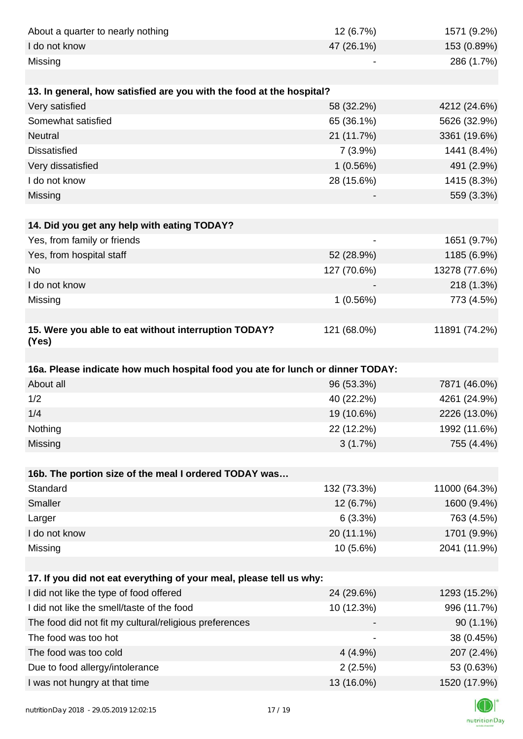| About a quarter to nearly nothing                                              | 12 (6.7%)   | 1571 (9.2%)   |
|--------------------------------------------------------------------------------|-------------|---------------|
| I do not know                                                                  | 47 (26.1%)  | 153 (0.89%)   |
| Missing                                                                        |             | 286 (1.7%)    |
|                                                                                |             |               |
| 13. In general, how satisfied are you with the food at the hospital?           |             |               |
| Very satisfied                                                                 | 58 (32.2%)  | 4212 (24.6%)  |
| Somewhat satisfied                                                             | 65 (36.1%)  | 5626 (32.9%)  |
| <b>Neutral</b>                                                                 | 21 (11.7%)  | 3361 (19.6%)  |
| <b>Dissatisfied</b>                                                            | 7(3.9%)     | 1441 (8.4%)   |
| Very dissatisfied                                                              | 1(0.56%)    | 491 (2.9%)    |
| I do not know                                                                  | 28 (15.6%)  | 1415 (8.3%)   |
| Missing                                                                        |             | 559 (3.3%)    |
|                                                                                |             |               |
| 14. Did you get any help with eating TODAY?                                    |             |               |
| Yes, from family or friends                                                    |             | 1651 (9.7%)   |
| Yes, from hospital staff                                                       | 52 (28.9%)  | 1185 (6.9%)   |
| No                                                                             | 127 (70.6%) | 13278 (77.6%) |
| I do not know                                                                  |             | 218 (1.3%)    |
| Missing                                                                        | 1(0.56%)    | 773 (4.5%)    |
|                                                                                |             |               |
| 15. Were you able to eat without interruption TODAY?<br>(Yes)                  | 121 (68.0%) | 11891 (74.2%) |
|                                                                                |             |               |
| 16a. Please indicate how much hospital food you ate for lunch or dinner TODAY: |             |               |
| About all                                                                      | 96 (53.3%)  | 7871 (46.0%)  |
| 1/2                                                                            | 40 (22.2%)  | 4261 (24.9%)  |
| 1/4                                                                            | 19 (10.6%)  | 2226 (13.0%)  |
| Nothing                                                                        | 22 (12.2%)  | 1992 (11.6%)  |
| Missing                                                                        | 3(1.7%)     | 755 (4.4%)    |
|                                                                                |             |               |
| 16b. The portion size of the meal I ordered TODAY was                          |             |               |
| Standard                                                                       | 132 (73.3%) | 11000 (64.3%) |
| Smaller                                                                        | 12 (6.7%)   | 1600 (9.4%)   |
| Larger                                                                         | 6(3.3%)     | 763 (4.5%)    |
| I do not know                                                                  | 20 (11.1%)  | 1701 (9.9%)   |
| Missing                                                                        | 10 (5.6%)   | 2041 (11.9%)  |
|                                                                                |             |               |
| 17. If you did not eat everything of your meal, please tell us why:            |             |               |
| I did not like the type of food offered                                        | 24 (29.6%)  | 1293 (15.2%)  |
| I did not like the smell/taste of the food                                     | 10 (12.3%)  | 996 (11.7%)   |
| The food did not fit my cultural/religious preferences                         |             | $90(1.1\%)$   |
| The food was too hot                                                           | -           | 38 (0.45%)    |
| The food was too cold                                                          | 4(4.9%)     | 207 (2.4%)    |
| Due to food allergy/intolerance                                                | 2(2.5%)     | 53 (0.63%)    |
| I was not hungry at that time                                                  | 13 (16.0%)  | 1520 (17.9%)  |
|                                                                                |             |               |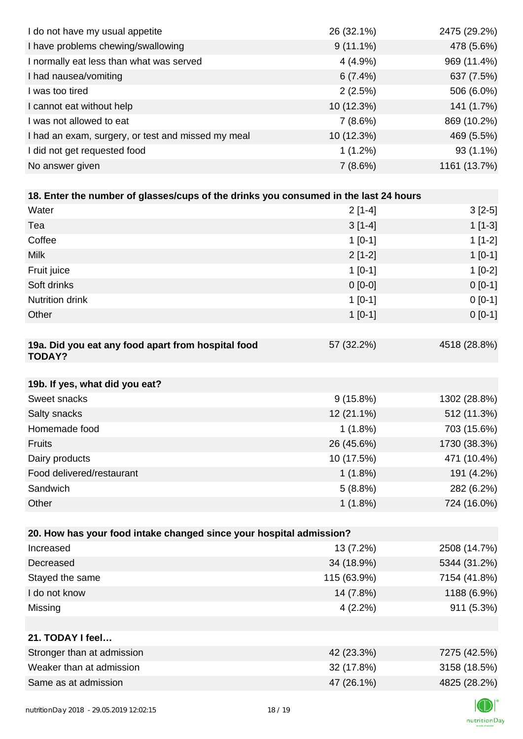| I do not have my usual appetite                                                      | 26 (32.1%)  | 2475 (29.2%) |
|--------------------------------------------------------------------------------------|-------------|--------------|
| I have problems chewing/swallowing                                                   | $9(11.1\%)$ | 478 (5.6%)   |
| I normally eat less than what was served                                             | $4(4.9\%)$  | 969 (11.4%)  |
| I had nausea/vomiting                                                                | 6(7.4%)     | 637 (7.5%)   |
| I was too tired                                                                      | 2(2.5%)     | 506 (6.0%)   |
| I cannot eat without help                                                            | 10 (12.3%)  | 141 (1.7%)   |
| I was not allowed to eat                                                             | 7(8.6%)     | 869 (10.2%)  |
| I had an exam, surgery, or test and missed my meal                                   | 10 (12.3%)  | 469 (5.5%)   |
| I did not get requested food                                                         | $1(1.2\%)$  | 93 (1.1%)    |
| No answer given                                                                      | 7(8.6%)     | 1161 (13.7%) |
|                                                                                      |             |              |
| 18. Enter the number of glasses/cups of the drinks you consumed in the last 24 hours |             |              |
| Water                                                                                | $2[1-4]$    | $3[2-5]$     |
| Tea                                                                                  | $3[1-4]$    | $1[1-3]$     |
| Coffee                                                                               | $1[0-1]$    | $1[1-2]$     |
| <b>Milk</b>                                                                          | $2[1-2]$    | $1[0-1]$     |
| Fruit juice                                                                          | $1[0-1]$    | $1[0-2]$     |
| Soft drinks                                                                          | $0[0-0]$    | $0 [0-1]$    |
| Nutrition drink                                                                      | $1[0-1]$    | $0[0-1]$     |
| Other                                                                                | $1[0-1]$    | $0 [0-1]$    |
|                                                                                      |             |              |
| 19a. Did you eat any food apart from hospital food<br><b>TODAY?</b>                  | 57 (32.2%)  | 4518 (28.8%) |
| 19b. If yes, what did you eat?                                                       |             |              |
| Sweet snacks                                                                         | $9(15.8\%)$ | 1302 (28.8%) |
| Salty snacks                                                                         | 12 (21.1%)  | 512 (11.3%)  |
| Homemade food                                                                        | 1(1.8%)     | 703 (15.6%)  |
| Fruits                                                                               | 26 (45.6%)  | 1730 (38.3%) |
| Dairy products                                                                       | 10 (17.5%)  | 471 (10.4%)  |
| Food delivered/restaurant                                                            | 1(1.8%)     | 191 (4.2%)   |
| Sandwich                                                                             | 5(8.8%)     | 282 (6.2%)   |
| Other                                                                                | 1(1.8%)     | 724 (16.0%)  |
|                                                                                      |             |              |
| 20. How has your food intake changed since your hospital admission?                  |             |              |
| Increased                                                                            | 13 (7.2%)   | 2508 (14.7%) |
| Decreased                                                                            | 34 (18.9%)  | 5344 (31.2%) |
| Stayed the same                                                                      | 115 (63.9%) | 7154 (41.8%) |
| I do not know                                                                        | 14 (7.8%)   | 1188 (6.9%)  |
| Missing                                                                              | 4(2.2%)     | 911 (5.3%)   |
|                                                                                      |             |              |
| 21. TODAY I feel                                                                     |             |              |
| Stronger than at admission                                                           | 42 (23.3%)  | 7275 (42.5%) |
| Weaker than at admission                                                             | 32 (17.8%)  | 3158 (18.5%) |
| Same as at admission                                                                 | 47 (26.1%)  | 4825 (28.2%) |
|                                                                                      |             |              |